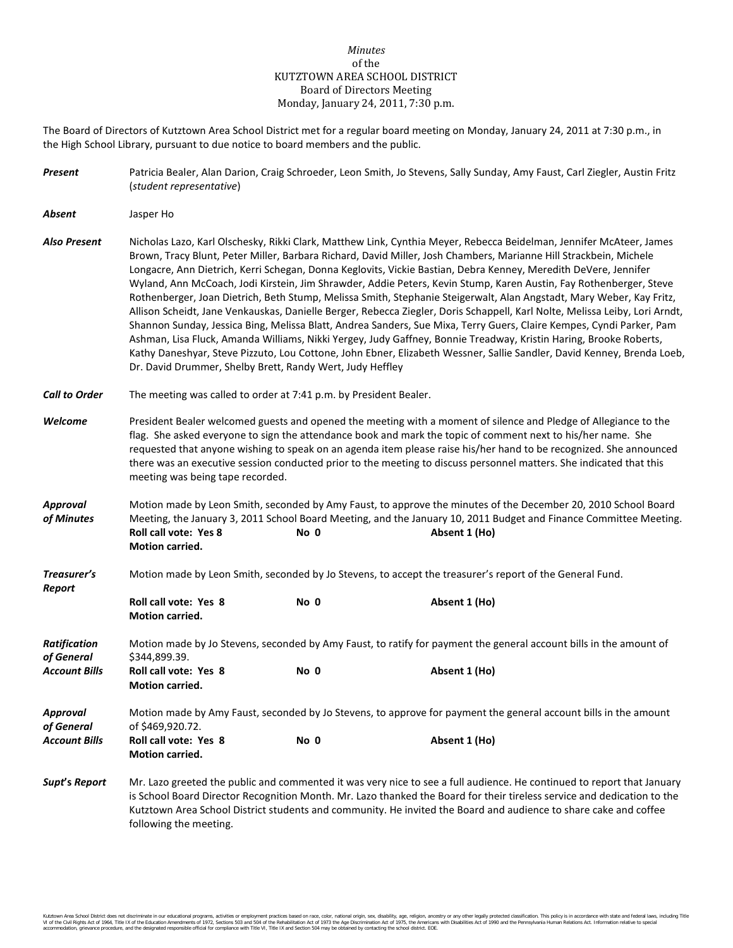## *Minutes* of the KUTZTOWN AREA SCHOOL DISTRICT Board of Directors Meeting Monday, January 24, 2011, 7:30 p.m.

The Board of Directors of Kutztown Area School District met for a regular board meeting on Monday, January 24, 2011 at 7:30 p.m., in the High School Library, pursuant to due notice to board members and the public.

| Present                           | Patricia Bealer, Alan Darion, Craig Schroeder, Leon Smith, Jo Stevens, Sally Sunday, Amy Faust, Carl Ziegler, Austin Fritz<br>(student representative)                                                                                                                                                                                                                                                                                                                                                                                                                                                                                                                                                                                                                                                                                                                                                                                                                                                                                                                                                                                                                       |      |               |  |  |
|-----------------------------------|------------------------------------------------------------------------------------------------------------------------------------------------------------------------------------------------------------------------------------------------------------------------------------------------------------------------------------------------------------------------------------------------------------------------------------------------------------------------------------------------------------------------------------------------------------------------------------------------------------------------------------------------------------------------------------------------------------------------------------------------------------------------------------------------------------------------------------------------------------------------------------------------------------------------------------------------------------------------------------------------------------------------------------------------------------------------------------------------------------------------------------------------------------------------------|------|---------------|--|--|
| Absent                            | Jasper Ho                                                                                                                                                                                                                                                                                                                                                                                                                                                                                                                                                                                                                                                                                                                                                                                                                                                                                                                                                                                                                                                                                                                                                                    |      |               |  |  |
| Also Present                      | Nicholas Lazo, Karl Olschesky, Rikki Clark, Matthew Link, Cynthia Meyer, Rebecca Beidelman, Jennifer McAteer, James<br>Brown, Tracy Blunt, Peter Miller, Barbara Richard, David Miller, Josh Chambers, Marianne Hill Strackbein, Michele<br>Longacre, Ann Dietrich, Kerri Schegan, Donna Keglovits, Vickie Bastian, Debra Kenney, Meredith DeVere, Jennifer<br>Wyland, Ann McCoach, Jodi Kirstein, Jim Shrawder, Addie Peters, Kevin Stump, Karen Austin, Fay Rothenberger, Steve<br>Rothenberger, Joan Dietrich, Beth Stump, Melissa Smith, Stephanie Steigerwalt, Alan Angstadt, Mary Weber, Kay Fritz,<br>Allison Scheidt, Jane Venkauskas, Danielle Berger, Rebecca Ziegler, Doris Schappell, Karl Nolte, Melissa Leiby, Lori Arndt,<br>Shannon Sunday, Jessica Bing, Melissa Blatt, Andrea Sanders, Sue Mixa, Terry Guers, Claire Kempes, Cyndi Parker, Pam<br>Ashman, Lisa Fluck, Amanda Williams, Nikki Yergey, Judy Gaffney, Bonnie Treadway, Kristin Haring, Brooke Roberts,<br>Kathy Daneshyar, Steve Pizzuto, Lou Cottone, John Ebner, Elizabeth Wessner, Sallie Sandler, David Kenney, Brenda Loeb,<br>Dr. David Drummer, Shelby Brett, Randy Wert, Judy Heffley |      |               |  |  |
| <b>Call to Order</b>              | The meeting was called to order at 7:41 p.m. by President Bealer.                                                                                                                                                                                                                                                                                                                                                                                                                                                                                                                                                                                                                                                                                                                                                                                                                                                                                                                                                                                                                                                                                                            |      |               |  |  |
| Welcome                           | President Bealer welcomed guests and opened the meeting with a moment of silence and Pledge of Allegiance to the<br>flag. She asked everyone to sign the attendance book and mark the topic of comment next to his/her name. She<br>requested that anyone wishing to speak on an agenda item please raise his/her hand to be recognized. She announced<br>there was an executive session conducted prior to the meeting to discuss personnel matters. She indicated that this<br>meeting was being tape recorded.                                                                                                                                                                                                                                                                                                                                                                                                                                                                                                                                                                                                                                                            |      |               |  |  |
| <b>Approval</b><br>of Minutes     | Motion made by Leon Smith, seconded by Amy Faust, to approve the minutes of the December 20, 2010 School Board<br>Meeting, the January 3, 2011 School Board Meeting, and the January 10, 2011 Budget and Finance Committee Meeting.<br><b>Roll call vote: Yes 8</b><br>No 0<br>Absent 1 (Ho)<br>Motion carried.                                                                                                                                                                                                                                                                                                                                                                                                                                                                                                                                                                                                                                                                                                                                                                                                                                                              |      |               |  |  |
| Treasurer's<br>Report             | Motion made by Leon Smith, seconded by Jo Stevens, to accept the treasurer's report of the General Fund.                                                                                                                                                                                                                                                                                                                                                                                                                                                                                                                                                                                                                                                                                                                                                                                                                                                                                                                                                                                                                                                                     |      |               |  |  |
|                                   | Roll call vote: Yes 8<br>Motion carried.                                                                                                                                                                                                                                                                                                                                                                                                                                                                                                                                                                                                                                                                                                                                                                                                                                                                                                                                                                                                                                                                                                                                     | No 0 | Absent 1 (Ho) |  |  |
| <b>Ratification</b><br>of General | Motion made by Jo Stevens, seconded by Amy Faust, to ratify for payment the general account bills in the amount of<br>\$344,899.39.                                                                                                                                                                                                                                                                                                                                                                                                                                                                                                                                                                                                                                                                                                                                                                                                                                                                                                                                                                                                                                          |      |               |  |  |
| <b>Account Bills</b>              | Roll call vote: Yes 8<br><b>Motion carried.</b>                                                                                                                                                                                                                                                                                                                                                                                                                                                                                                                                                                                                                                                                                                                                                                                                                                                                                                                                                                                                                                                                                                                              | No 0 | Absent 1 (Ho) |  |  |
| <b>Approval</b><br>of General     | Motion made by Amy Faust, seconded by Jo Stevens, to approve for payment the general account bills in the amount<br>of \$469,920.72.                                                                                                                                                                                                                                                                                                                                                                                                                                                                                                                                                                                                                                                                                                                                                                                                                                                                                                                                                                                                                                         |      |               |  |  |
| <b>Account Bills</b>              | Roll call vote: Yes 8<br><b>Motion carried.</b>                                                                                                                                                                                                                                                                                                                                                                                                                                                                                                                                                                                                                                                                                                                                                                                                                                                                                                                                                                                                                                                                                                                              | No 0 | Absent 1 (Ho) |  |  |
| Supt's Report                     | Mr. Lazo greeted the public and commented it was very nice to see a full audience. He continued to report that January<br>is School Board Director Recognition Month. Mr. Lazo thanked the Board for their tireless service and dedication to the<br>Kutztown Area School District students and community. He invited the Board and audience to share cake and coffee<br>following the meeting.                                                                                                                                                                                                                                                                                                                                                                                                                                                                                                                                                                                                                                                                                                                                                                              |      |               |  |  |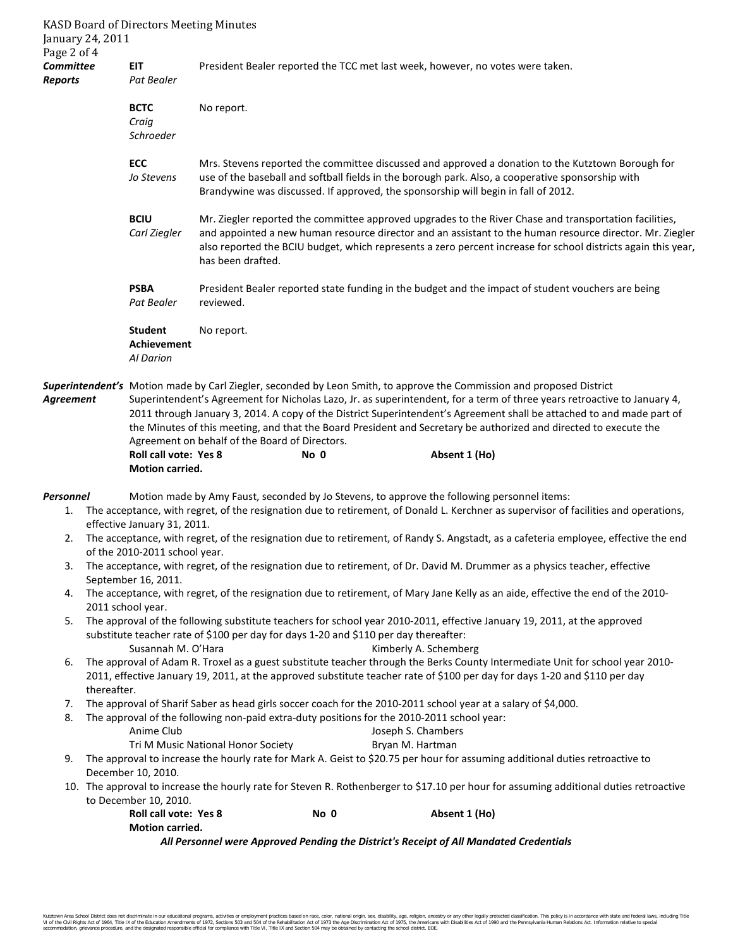| Page 2 of 4                                                                                                                        | January 24, 2011                                                                                                                                                                                                                      | <b>KASD Board of Directors Meeting Minutes</b>                                                                                                                                                                                                                                                             |                                                |      |                    |                                                                                             |                                                                                                                                                                                                                                                                                                                                                                        |  |
|------------------------------------------------------------------------------------------------------------------------------------|---------------------------------------------------------------------------------------------------------------------------------------------------------------------------------------------------------------------------------------|------------------------------------------------------------------------------------------------------------------------------------------------------------------------------------------------------------------------------------------------------------------------------------------------------------|------------------------------------------------|------|--------------------|---------------------------------------------------------------------------------------------|------------------------------------------------------------------------------------------------------------------------------------------------------------------------------------------------------------------------------------------------------------------------------------------------------------------------------------------------------------------------|--|
| <b>Committee</b><br><b>Reports</b>                                                                                                 |                                                                                                                                                                                                                                       | <b>EIT</b><br>Pat Bealer                                                                                                                                                                                                                                                                                   |                                                |      |                    | President Bealer reported the TCC met last week, however, no votes were taken.              |                                                                                                                                                                                                                                                                                                                                                                        |  |
|                                                                                                                                    |                                                                                                                                                                                                                                       | <b>BCTC</b><br>Craig<br>Schroeder                                                                                                                                                                                                                                                                          | No report.                                     |      |                    |                                                                                             |                                                                                                                                                                                                                                                                                                                                                                        |  |
|                                                                                                                                    |                                                                                                                                                                                                                                       | <b>ECC</b><br>Jo Stevens                                                                                                                                                                                                                                                                                   |                                                |      |                    | Brandywine was discussed. If approved, the sponsorship will begin in fall of 2012.          | Mrs. Stevens reported the committee discussed and approved a donation to the Kutztown Borough for<br>use of the baseball and softball fields in the borough park. Also, a cooperative sponsorship with                                                                                                                                                                 |  |
|                                                                                                                                    |                                                                                                                                                                                                                                       | <b>BCIU</b><br>Carl Ziegler                                                                                                                                                                                                                                                                                | has been drafted.                              |      |                    |                                                                                             | Mr. Ziegler reported the committee approved upgrades to the River Chase and transportation facilities,<br>and appointed a new human resource director and an assistant to the human resource director. Mr. Ziegler<br>also reported the BCIU budget, which represents a zero percent increase for school districts again this year,                                    |  |
|                                                                                                                                    |                                                                                                                                                                                                                                       | <b>PSBA</b><br>Pat Bealer                                                                                                                                                                                                                                                                                  | reviewed.                                      |      |                    |                                                                                             | President Bealer reported state funding in the budget and the impact of student vouchers are being                                                                                                                                                                                                                                                                     |  |
|                                                                                                                                    |                                                                                                                                                                                                                                       | <b>Student</b><br><b>Achievement</b><br><b>Al Darion</b>                                                                                                                                                                                                                                                   | No report.                                     |      |                    |                                                                                             |                                                                                                                                                                                                                                                                                                                                                                        |  |
| Superintendent's Motion made by Carl Ziegler, seconded by Leon Smith, to approve the Commission and proposed District<br>Agreement |                                                                                                                                                                                                                                       |                                                                                                                                                                                                                                                                                                            | Agreement on behalf of the Board of Directors. |      |                    |                                                                                             | Superintendent's Agreement for Nicholas Lazo, Jr. as superintendent, for a term of three years retroactive to January 4,<br>2011 through January 3, 2014. A copy of the District Superintendent's Agreement shall be attached to and made part of<br>the Minutes of this meeting, and that the Board President and Secretary be authorized and directed to execute the |  |
|                                                                                                                                    |                                                                                                                                                                                                                                       | <b>Roll call vote: Yes 8</b><br>Motion carried.                                                                                                                                                                                                                                                            |                                                | No 0 |                    | Absent 1 (Ho)                                                                               |                                                                                                                                                                                                                                                                                                                                                                        |  |
| Personnel<br>1.                                                                                                                    |                                                                                                                                                                                                                                       |                                                                                                                                                                                                                                                                                                            |                                                |      |                    | Motion made by Amy Faust, seconded by Jo Stevens, to approve the following personnel items: | The acceptance, with regret, of the resignation due to retirement, of Donald L. Kerchner as supervisor of facilities and operations,                                                                                                                                                                                                                                   |  |
| 2.                                                                                                                                 |                                                                                                                                                                                                                                       | effective January 31, 2011.<br>of the 2010-2011 school year.                                                                                                                                                                                                                                               |                                                |      |                    |                                                                                             | The acceptance, with regret, of the resignation due to retirement, of Randy S. Angstadt, as a cafeteria employee, effective the end                                                                                                                                                                                                                                    |  |
| 3.                                                                                                                                 |                                                                                                                                                                                                                                       | September 16, 2011.                                                                                                                                                                                                                                                                                        |                                                |      |                    |                                                                                             | The acceptance, with regret, of the resignation due to retirement, of Dr. David M. Drummer as a physics teacher, effective                                                                                                                                                                                                                                             |  |
| 4.                                                                                                                                 |                                                                                                                                                                                                                                       |                                                                                                                                                                                                                                                                                                            |                                                |      |                    |                                                                                             | The acceptance, with regret, of the resignation due to retirement, of Mary Jane Kelly as an aide, effective the end of the 2010-                                                                                                                                                                                                                                       |  |
| 5.                                                                                                                                 | 2011 school year.<br>The approval of the following substitute teachers for school year 2010-2011, effective January 19, 2011, at the approved<br>substitute teacher rate of \$100 per day for days 1-20 and \$110 per day thereafter: |                                                                                                                                                                                                                                                                                                            |                                                |      |                    |                                                                                             |                                                                                                                                                                                                                                                                                                                                                                        |  |
| 6.                                                                                                                                 | thereafter.                                                                                                                                                                                                                           | Susannah M. O'Hara<br>Kimberly A. Schemberg<br>The approval of Adam R. Troxel as a guest substitute teacher through the Berks County Intermediate Unit for school year 2010-<br>2011, effective January 19, 2011, at the approved substitute teacher rate of \$100 per day for days 1-20 and \$110 per day |                                                |      |                    |                                                                                             |                                                                                                                                                                                                                                                                                                                                                                        |  |
| 7.                                                                                                                                 | The approval of Sharif Saber as head girls soccer coach for the 2010-2011 school year at a salary of \$4,000.<br>The approval of the following non-paid extra-duty positions for the 2010-2011 school year:                           |                                                                                                                                                                                                                                                                                                            |                                                |      |                    |                                                                                             |                                                                                                                                                                                                                                                                                                                                                                        |  |
| 8.                                                                                                                                 |                                                                                                                                                                                                                                       | Anime Club                                                                                                                                                                                                                                                                                                 |                                                |      | Joseph S. Chambers |                                                                                             |                                                                                                                                                                                                                                                                                                                                                                        |  |
|                                                                                                                                    |                                                                                                                                                                                                                                       |                                                                                                                                                                                                                                                                                                            | Tri M Music National Honor Society             |      | Bryan M. Hartman   |                                                                                             |                                                                                                                                                                                                                                                                                                                                                                        |  |
| 9.                                                                                                                                 |                                                                                                                                                                                                                                       | December 10, 2010.                                                                                                                                                                                                                                                                                         |                                                |      |                    |                                                                                             | The approval to increase the hourly rate for Mark A. Geist to \$20.75 per hour for assuming additional duties retroactive to                                                                                                                                                                                                                                           |  |
|                                                                                                                                    |                                                                                                                                                                                                                                       |                                                                                                                                                                                                                                                                                                            |                                                |      |                    |                                                                                             | 10. The approval to increase the hourly rate for Steven R. Rothenberger to \$17.10 per hour for assuming additional duties retroactive                                                                                                                                                                                                                                 |  |
|                                                                                                                                    |                                                                                                                                                                                                                                       | to December 10, 2010.<br>Roll call vote: Yes 8                                                                                                                                                                                                                                                             |                                                | No 0 |                    | Absent 1 (Ho)                                                                               |                                                                                                                                                                                                                                                                                                                                                                        |  |
|                                                                                                                                    |                                                                                                                                                                                                                                       | Motion carried.                                                                                                                                                                                                                                                                                            |                                                |      |                    | All Personnel were Approved Pending the District's Receipt of All Mandated Credentials      |                                                                                                                                                                                                                                                                                                                                                                        |  |
|                                                                                                                                    |                                                                                                                                                                                                                                       |                                                                                                                                                                                                                                                                                                            |                                                |      |                    |                                                                                             |                                                                                                                                                                                                                                                                                                                                                                        |  |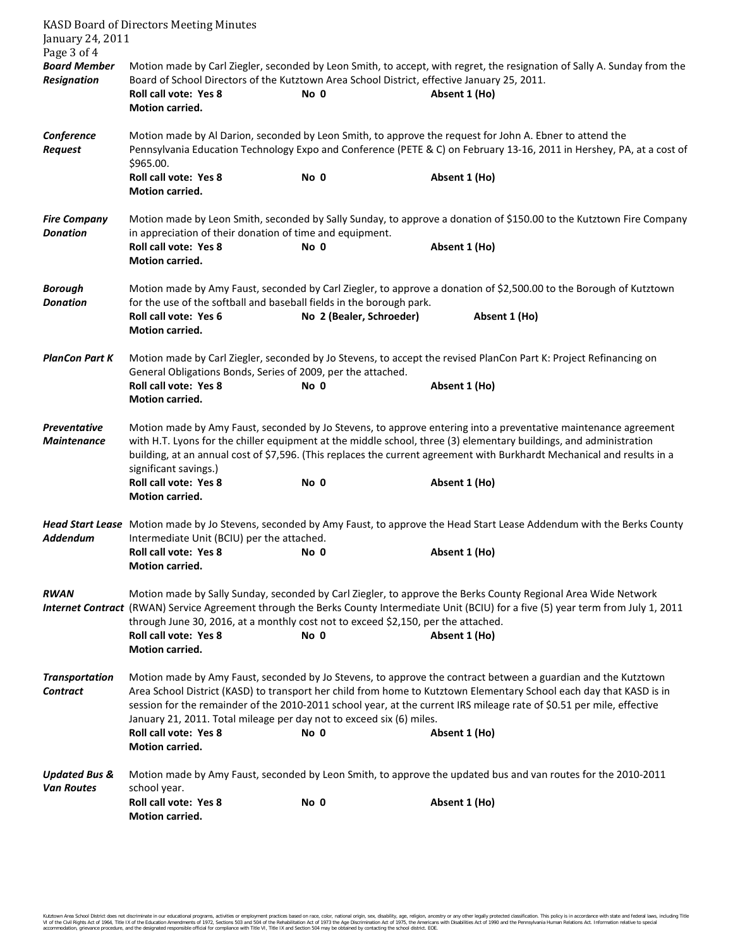| January 24, 2011<br>Page 3 of 4               | <b>KASD Board of Directors Meeting Minutes</b>                                                                                                                                                                                                                                                                                                                                                                                        |                          |                                                                                                               |  |  |  |
|-----------------------------------------------|---------------------------------------------------------------------------------------------------------------------------------------------------------------------------------------------------------------------------------------------------------------------------------------------------------------------------------------------------------------------------------------------------------------------------------------|--------------------------|---------------------------------------------------------------------------------------------------------------|--|--|--|
| <b>Board Member</b><br><b>Resignation</b>     | Motion made by Carl Ziegler, seconded by Leon Smith, to accept, with regret, the resignation of Sally A. Sunday from the<br>Board of School Directors of the Kutztown Area School District, effective January 25, 2011.                                                                                                                                                                                                               |                          |                                                                                                               |  |  |  |
|                                               | <b>Roll call vote: Yes 8</b><br>Motion carried.                                                                                                                                                                                                                                                                                                                                                                                       | No 0                     | Absent 1 (Ho)                                                                                                 |  |  |  |
| Conference<br><b>Request</b>                  | Motion made by Al Darion, seconded by Leon Smith, to approve the request for John A. Ebner to attend the<br>Pennsylvania Education Technology Expo and Conference (PETE & C) on February 13-16, 2011 in Hershey, PA, at a cost of<br>\$965.00.                                                                                                                                                                                        |                          |                                                                                                               |  |  |  |
|                                               | <b>Roll call vote: Yes 8</b><br>Motion carried.                                                                                                                                                                                                                                                                                                                                                                                       | No 0                     | Absent 1 (Ho)                                                                                                 |  |  |  |
| <b>Fire Company</b><br><b>Donation</b>        | Motion made by Leon Smith, seconded by Sally Sunday, to approve a donation of \$150.00 to the Kutztown Fire Company<br>in appreciation of their donation of time and equipment.                                                                                                                                                                                                                                                       |                          |                                                                                                               |  |  |  |
|                                               | <b>Roll call vote: Yes 8</b><br><b>Motion carried.</b>                                                                                                                                                                                                                                                                                                                                                                                | No 0                     | Absent 1 (Ho)                                                                                                 |  |  |  |
| <b>Borough</b><br><b>Donation</b>             | Motion made by Amy Faust, seconded by Carl Ziegler, to approve a donation of \$2,500.00 to the Borough of Kutztown<br>for the use of the softball and baseball fields in the borough park.                                                                                                                                                                                                                                            |                          |                                                                                                               |  |  |  |
|                                               | Roll call vote: Yes 6<br><b>Motion carried.</b>                                                                                                                                                                                                                                                                                                                                                                                       | No 2 (Bealer, Schroeder) | Absent 1 (Ho)                                                                                                 |  |  |  |
| <b>PlanCon Part K</b>                         | Motion made by Carl Ziegler, seconded by Jo Stevens, to accept the revised PlanCon Part K: Project Refinancing on<br>General Obligations Bonds, Series of 2009, per the attached.                                                                                                                                                                                                                                                     |                          |                                                                                                               |  |  |  |
|                                               | <b>Roll call vote: Yes 8</b><br>Motion carried.                                                                                                                                                                                                                                                                                                                                                                                       | No 0                     | Absent 1 (Ho)                                                                                                 |  |  |  |
| Preventative<br><b>Maintenance</b>            | Motion made by Amy Faust, seconded by Jo Stevens, to approve entering into a preventative maintenance agreement<br>with H.T. Lyons for the chiller equipment at the middle school, three (3) elementary buildings, and administration<br>building, at an annual cost of \$7,596. (This replaces the current agreement with Burkhardt Mechanical and results in a<br>significant savings.)                                             |                          |                                                                                                               |  |  |  |
|                                               | Roll call vote: Yes 8<br>Motion carried.                                                                                                                                                                                                                                                                                                                                                                                              | No 0                     | Absent 1 (Ho)                                                                                                 |  |  |  |
| Addendum                                      | Head Start Lease Motion made by Jo Stevens, seconded by Amy Faust, to approve the Head Start Lease Addendum with the Berks County<br>Intermediate Unit (BCIU) per the attached.                                                                                                                                                                                                                                                       |                          |                                                                                                               |  |  |  |
|                                               | Roll call vote: Yes 8<br>Motion carried.                                                                                                                                                                                                                                                                                                                                                                                              | No 0                     | Absent 1 (Ho)                                                                                                 |  |  |  |
| <b>RWAN</b>                                   | Motion made by Sally Sunday, seconded by Carl Ziegler, to approve the Berks County Regional Area Wide Network<br>Internet Contract (RWAN) Service Agreement through the Berks County Intermediate Unit (BCIU) for a five (5) year term from July 1, 2011<br>through June 30, 2016, at a monthly cost not to exceed \$2,150, per the attached.<br><b>Roll call vote: Yes 8</b><br>No 0<br>Absent 1 (Ho)<br>Motion carried.             |                          |                                                                                                               |  |  |  |
| <b>Transportation</b><br><b>Contract</b>      | Motion made by Amy Faust, seconded by Jo Stevens, to approve the contract between a guardian and the Kutztown<br>Area School District (KASD) to transport her child from home to Kutztown Elementary School each day that KASD is in<br>session for the remainder of the 2010-2011 school year, at the current IRS mileage rate of \$0.51 per mile, effective<br>January 21, 2011. Total mileage per day not to exceed six (6) miles. |                          |                                                                                                               |  |  |  |
|                                               | <b>Roll call vote: Yes 8</b><br>Motion carried.                                                                                                                                                                                                                                                                                                                                                                                       | No 0                     | Absent 1 (Ho)                                                                                                 |  |  |  |
| <b>Updated Bus &amp;</b><br><b>Van Routes</b> | school year.                                                                                                                                                                                                                                                                                                                                                                                                                          |                          | Motion made by Amy Faust, seconded by Leon Smith, to approve the updated bus and van routes for the 2010-2011 |  |  |  |
|                                               | <b>Roll call vote: Yes 8</b><br>Motion carried.                                                                                                                                                                                                                                                                                                                                                                                       | No 0                     | Absent 1 (Ho)                                                                                                 |  |  |  |